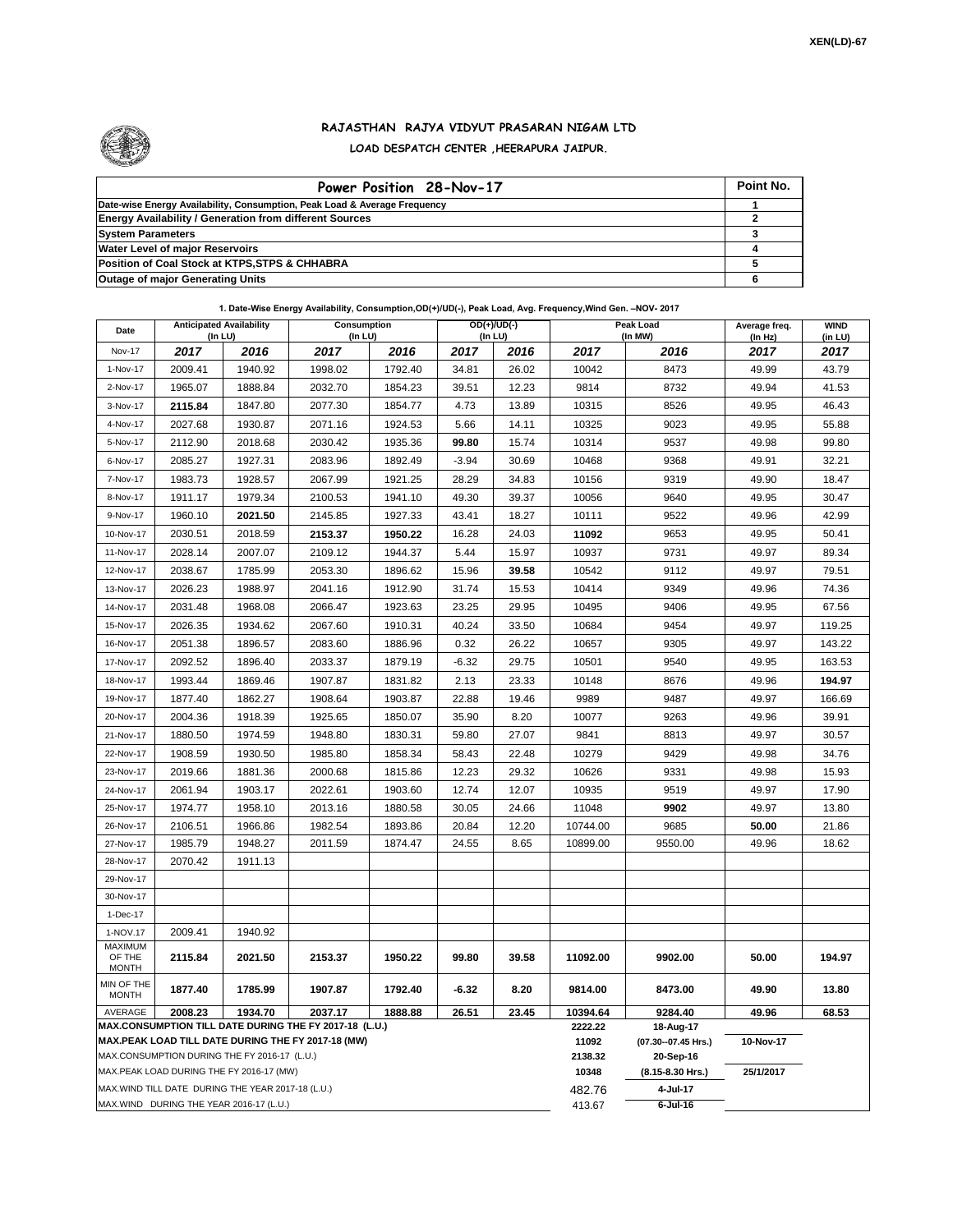

## **RAJASTHAN RAJYA VIDYUT PRASARAN NIGAM LTD LOAD DESPATCH CENTER ,HEERAPURA JAIPUR.**

| Power Position 28-Nov-17                                                  | Point No. |
|---------------------------------------------------------------------------|-----------|
| Date-wise Energy Availability, Consumption, Peak Load & Average Frequency |           |
| <b>Energy Availability / Generation from different Sources</b>            |           |
| <b>System Parameters</b>                                                  |           |
| <b>Water Level of major Reservoirs</b>                                    |           |
| Position of Coal Stock at KTPS, STPS & CHHABRA                            |           |
| <b>Outage of major Generating Units</b>                                   |           |

## **1. Date-Wise Energy Availability, Consumption,OD(+)/UD(-), Peak Load, Avg. Frequency,Wind Gen. –NOV- 2017**

| Date                       | <b>Anticipated Availability</b><br>$($ In LU $)$   |         | Consumption<br>(In LU)                                                                                       |         |         | $OD(+) / UD(-)$<br>(In LU) |                  | Peak Load<br>(In MW)             | Average freq.<br>(In Hz) | <b>WIND</b><br>(in LU) |
|----------------------------|----------------------------------------------------|---------|--------------------------------------------------------------------------------------------------------------|---------|---------|----------------------------|------------------|----------------------------------|--------------------------|------------------------|
| <b>Nov-17</b>              | 2017                                               | 2016    | 2017                                                                                                         | 2016    | 2017    | 2016                       | 2017             | 2016                             | 2017                     | 2017                   |
| 1-Nov-17                   | 2009.41                                            | 1940.92 | 1998.02                                                                                                      | 1792.40 | 34.81   | 26.02                      | 10042            | 8473                             | 49.99                    | 43.79                  |
| 2-Nov-17                   | 1965.07                                            | 1888.84 | 2032.70                                                                                                      | 1854.23 | 39.51   | 12.23                      | 9814             | 8732                             | 49.94                    | 41.53                  |
| 3-Nov-17                   | 2115.84                                            | 1847.80 | 2077.30                                                                                                      | 1854.77 | 4.73    | 13.89                      | 10315            | 8526                             | 49.95                    | 46.43                  |
| 4-Nov-17                   | 2027.68                                            | 1930.87 | 2071.16                                                                                                      | 1924.53 | 5.66    | 14.11                      | 10325            | 9023                             | 49.95                    | 55.88                  |
| 5-Nov-17                   | 2112.90                                            | 2018.68 | 2030.42                                                                                                      | 1935.36 | 99.80   | 15.74                      | 10314            | 9537                             | 49.98                    | 99.80                  |
| 6-Nov-17                   | 2085.27                                            | 1927.31 | 2083.96                                                                                                      | 1892.49 | $-3.94$ | 30.69                      | 10468            | 9368                             | 49.91                    | 32.21                  |
| 7-Nov-17                   | 1983.73                                            | 1928.57 | 2067.99                                                                                                      | 1921.25 | 28.29   | 34.83                      | 10156            | 9319                             | 49.90                    | 18.47                  |
| 8-Nov-17                   | 1911.17                                            | 1979.34 | 2100.53                                                                                                      | 1941.10 | 49.30   | 39.37                      | 10056            | 9640                             | 49.95                    | 30.47                  |
| 9-Nov-17                   | 1960.10                                            | 2021.50 | 2145.85                                                                                                      | 1927.33 | 43.41   | 18.27                      | 10111            | 9522                             | 49.96                    | 42.99                  |
| 10-Nov-17                  | 2030.51                                            | 2018.59 | 2153.37                                                                                                      | 1950.22 | 16.28   | 24.03                      | 11092            | 9653                             | 49.95                    | 50.41                  |
| 11-Nov-17                  | 2028.14                                            | 2007.07 | 2109.12                                                                                                      | 1944.37 | 5.44    | 15.97                      | 10937            | 9731                             | 49.97                    | 89.34                  |
| 12-Nov-17                  | 2038.67                                            | 1785.99 | 2053.30                                                                                                      | 1896.62 | 15.96   | 39.58                      | 10542            | 9112                             | 49.97                    | 79.51                  |
| 13-Nov-17                  | 2026.23                                            | 1988.97 | 2041.16                                                                                                      | 1912.90 | 31.74   | 15.53                      | 10414            | 9349                             | 49.96                    | 74.36                  |
| 14-Nov-17                  | 2031.48                                            | 1968.08 | 2066.47                                                                                                      | 1923.63 | 23.25   | 29.95                      | 10495            | 9406                             | 49.95                    | 67.56                  |
| 15-Nov-17                  | 2026.35                                            | 1934.62 | 2067.60                                                                                                      | 1910.31 | 40.24   | 33.50                      | 10684            | 9454                             | 49.97                    | 119.25                 |
| 16-Nov-17                  | 2051.38                                            | 1896.57 | 2083.60                                                                                                      | 1886.96 | 0.32    | 26.22                      | 10657            | 9305                             | 49.97                    | 143.22                 |
| 17-Nov-17                  | 2092.52                                            | 1896.40 | 2033.37                                                                                                      | 1879.19 | $-6.32$ | 29.75                      | 10501            | 9540                             | 49.95                    | 163.53                 |
| 18-Nov-17                  | 1993.44                                            | 1869.46 | 1907.87                                                                                                      | 1831.82 | 2.13    | 23.33                      | 10148            | 8676                             | 49.96                    | 194.97                 |
| 19-Nov-17                  | 1877.40                                            | 1862.27 | 1908.64                                                                                                      | 1903.87 | 22.88   | 19.46                      | 9989             | 9487                             | 49.97                    | 166.69                 |
| 20-Nov-17                  | 2004.36                                            | 1918.39 | 1925.65                                                                                                      | 1850.07 | 35.90   | 8.20                       | 10077            | 9263                             | 49.96                    | 39.91                  |
| 21-Nov-17                  | 1880.50                                            | 1974.59 | 1948.80                                                                                                      | 1830.31 | 59.80   | 27.07                      | 9841             | 8813                             | 49.97                    | 30.57                  |
| 22-Nov-17                  | 1908.59                                            | 1930.50 | 1985.80                                                                                                      | 1858.34 | 58.43   | 22.48                      | 10279            | 9429                             | 49.98                    | 34.76                  |
| 23-Nov-17                  | 2019.66                                            | 1881.36 | 2000.68                                                                                                      | 1815.86 | 12.23   | 29.32                      | 10626            | 9331                             | 49.98                    | 15.93                  |
| 24-Nov-17                  | 2061.94                                            | 1903.17 | 2022.61                                                                                                      | 1903.60 | 12.74   | 12.07                      | 10935            | 9519                             | 49.97                    | 17.90                  |
| 25-Nov-17                  | 1974.77                                            | 1958.10 | 2013.16                                                                                                      | 1880.58 | 30.05   | 24.66                      | 11048            | 9902                             | 49.97                    | 13.80                  |
| 26-Nov-17                  | 2106.51                                            | 1966.86 | 1982.54                                                                                                      | 1893.86 | 20.84   | 12.20                      | 10744.00         | 9685                             | 50.00                    | 21.86                  |
| 27-Nov-17                  | 1985.79                                            | 1948.27 | 2011.59                                                                                                      | 1874.47 | 24.55   | 8.65                       | 10899.00         | 9550.00                          | 49.96                    | 18.62                  |
| 28-Nov-17                  | 2070.42                                            | 1911.13 |                                                                                                              |         |         |                            |                  |                                  |                          |                        |
| 29-Nov-17                  |                                                    |         |                                                                                                              |         |         |                            |                  |                                  |                          |                        |
| 30-Nov-17                  |                                                    |         |                                                                                                              |         |         |                            |                  |                                  |                          |                        |
| 1-Dec-17                   |                                                    |         |                                                                                                              |         |         |                            |                  |                                  |                          |                        |
| 1-NOV.17<br><b>MAXIMUM</b> | 2009.41                                            | 1940.92 |                                                                                                              |         |         |                            |                  |                                  |                          |                        |
| OF THE<br><b>MONTH</b>     | 2115.84                                            | 2021.50 | 2153.37                                                                                                      | 1950.22 | 99.80   | 39.58                      | 11092.00         | 9902.00                          | 50.00                    | 194.97                 |
| MIN OF THE<br><b>MONTH</b> | 1877.40                                            | 1785.99 | 1907.87                                                                                                      | 1792.40 | -6.32   | 8.20                       | 9814.00          | 8473.00                          | 49.90                    | 13.80                  |
| AVERAGE                    | 2008.23                                            | 1934.70 | 2037.17                                                                                                      | 1888.88 | 26.51   | 23.45                      | 10394.64         | 9284.40                          | 49.96                    | 68.53                  |
|                            |                                                    |         | MAX.CONSUMPTION TILL DATE DURING THE FY 2017-18 (L.U.)<br>MAX.PEAK LOAD TILL DATE DURING THE FY 2017-18 (MW) |         |         |                            | 2222.22<br>11092 | 18-Aug-17<br>(07.30--07.45 Hrs.) | 10-Nov-17                |                        |
|                            | MAX.CONSUMPTION DURING THE FY 2016-17 (L.U.)       |         |                                                                                                              |         |         |                            | 2138.32          | 20-Sep-16                        |                          |                        |
|                            | MAX.PEAK LOAD DURING THE FY 2016-17 (MW)           |         |                                                                                                              |         |         |                            | 10348            | (8.15-8.30 Hrs.)                 | 25/1/2017                |                        |
|                            | MAX. WIND TILL DATE DURING THE YEAR 2017-18 (L.U.) |         |                                                                                                              |         |         |                            | 482.76           | 4-Jul-17                         |                          |                        |
|                            | MAX.WIND DURING THE YEAR 2016-17 (L.U.)            |         |                                                                                                              |         |         |                            | 413.67           | $6$ -Jul-16                      |                          |                        |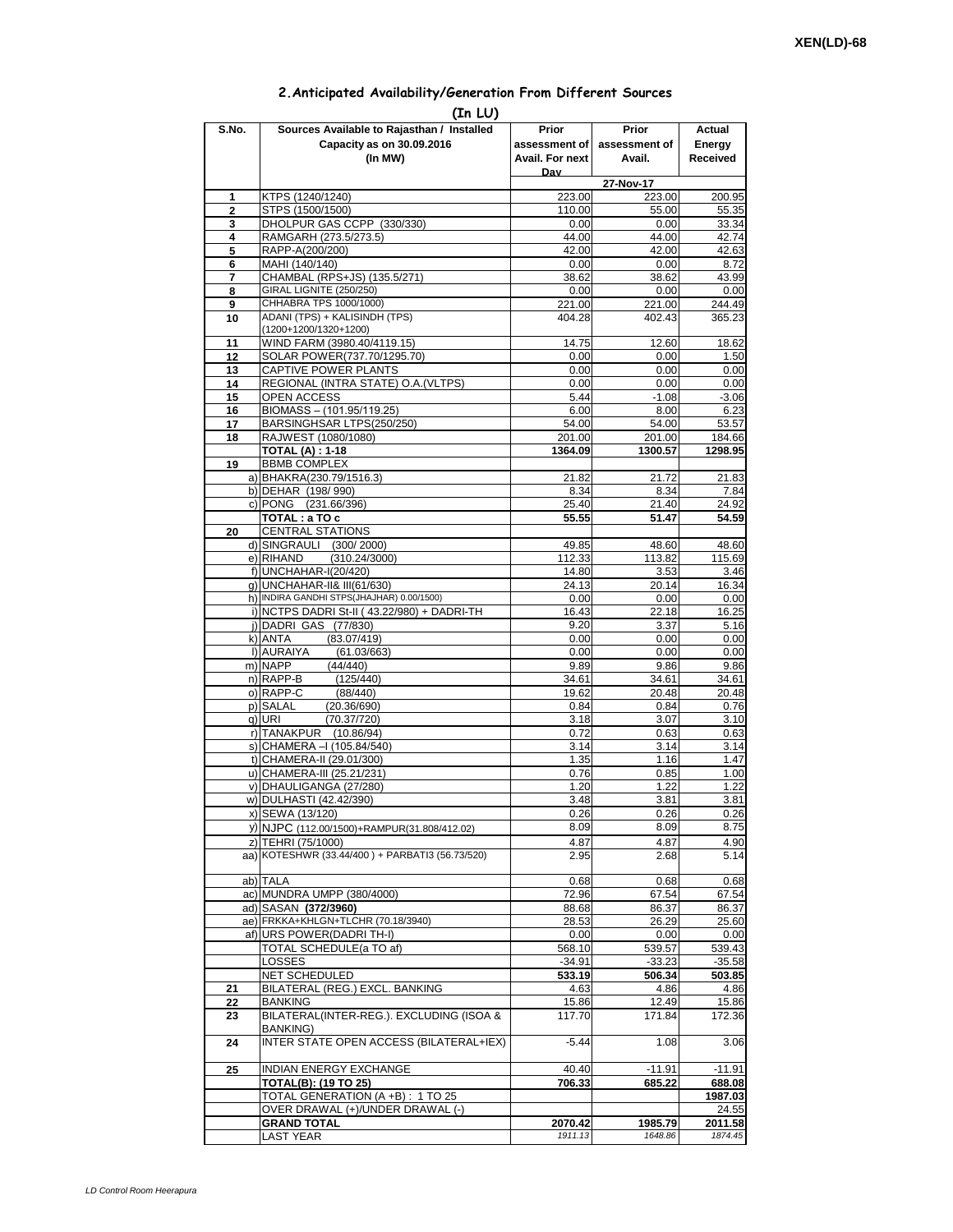## **2.Anticipated Availability/Generation From Different Sources**

|                     | (In LU)                                                                                  |                                           |                                  |                              |
|---------------------|------------------------------------------------------------------------------------------|-------------------------------------------|----------------------------------|------------------------------|
| S.No.               | Sources Available to Rajasthan / Installed<br>Capacity as on 30.09.2016<br>(In MW)       | Prior<br>assessment of<br>Avail. For next | Prior<br>assessment of<br>Avail. | Actual<br>Energy<br>Received |
|                     |                                                                                          | Dav                                       |                                  |                              |
|                     | KTPS (1240/1240)                                                                         | 223.00                                    | 27-Nov-17<br>223.00              | 200.95                       |
| 1<br>$\overline{2}$ | STPS (1500/1500)                                                                         | 110.00                                    | 55.00                            | 55.35                        |
| 3                   | DHOLPUR GAS CCPP (330/330)                                                               | 0.00                                      | 0.00                             | 33.34                        |
| 4                   | RAMGARH (273.5/273.5)                                                                    | 44.00                                     | 44.00                            | 42.74                        |
| 5                   | RAPP-A(200/200)                                                                          | 42.00                                     | 42.00                            | 42.63                        |
| 6                   | MAHI (140/140)                                                                           | 0.00                                      | 0.00                             | 8.72                         |
| 7                   | CHAMBAL (RPS+JS) (135.5/271)<br>GIRAL LIGNITE (250/250)                                  | 38.62                                     | 38.62                            | 43.99                        |
| 8<br>9              | CHHABRA TPS 1000/1000)                                                                   | 0.00<br>221.00                            | 0.00<br>221.00                   | 0.00<br>244.49               |
| 10                  | ADANI (TPS) + KALISINDH (TPS)                                                            | 404.28                                    | 402.43                           | 365.23                       |
|                     | (1200+1200/1320+1200)                                                                    |                                           |                                  |                              |
| 11                  | WIND FARM (3980.40/4119.15)                                                              | 14.75                                     | 12.60                            | 18.62                        |
| 12                  | SOLAR POWER(737.70/1295.70)                                                              | 0.00                                      | 0.00                             | 1.50                         |
| 13                  | CAPTIVE POWER PLANTS                                                                     | 0.00                                      | 0.00                             | 0.00                         |
| 14<br>15            | REGIONAL (INTRA STATE) O.A. (VLTPS)<br><b>OPEN ACCESS</b>                                | 0.00<br>5.44                              | 0.00<br>$-1.08$                  | 0.00<br>$-3.06$              |
| 16                  | BIOMASS - (101.95/119.25)                                                                | 6.00                                      | 8.00                             | 6.23                         |
| 17                  | BARSINGHSAR LTPS(250/250)                                                                | 54.00                                     | 54.00                            | 53.57                        |
| 18                  | RAJWEST (1080/1080)                                                                      | 201.00                                    | 201.00                           | 184.66                       |
|                     | <b>TOTAL (A): 1-18</b>                                                                   | 1364.09                                   | 1300.57                          | 1298.95                      |
| 19                  | <b>BBMB COMPLEX</b>                                                                      |                                           |                                  |                              |
|                     | a) BHAKRA(230.79/1516.3)                                                                 | 21.82<br>8.34                             | 21.72                            | 21.83<br>7.84                |
|                     | b) DEHAR (198/990)<br>c) PONG (231.66/396)                                               | 25.40                                     | 8.34<br>21.40                    | 24.92                        |
|                     | TOTAL: a TO c                                                                            | 55.55                                     | 51.47                            | 54.59                        |
| 20                  | <b>CENTRAL STATIONS</b>                                                                  |                                           |                                  |                              |
|                     | d) SINGRAULI (300/2000)                                                                  | 49.85                                     | 48.60                            | 48.60                        |
|                     | e) RIHAND<br>(310.24/3000)                                                               | 112.33                                    | 113.82                           | 115.69                       |
|                     | f) UNCHAHAR-I(20/420)                                                                    | 14.80                                     | 3.53                             | 3.46                         |
|                     | g) UNCHAHAR-II& III(61/630)                                                              | 24.13                                     | 20.14                            | 16.34                        |
|                     | h) INDIRA GANDHI STPS(JHAJHAR) 0.00/1500)<br>i) NCTPS DADRI St-II (43.22/980) + DADRI-TH | 0.00<br>16.43                             | 0.00<br>22.18                    | 0.00<br>16.25                |
|                     | j) DADRI GAS (77/830)                                                                    | 9.20                                      | 3.37                             | 5.16                         |
|                     | k) ANTA<br>(83.07/419)                                                                   | 0.00                                      | 0.00                             | 0.00                         |
|                     | I) AURAIYA<br>(61.03/663)                                                                | 0.00                                      | 0.00                             | 0.00                         |
|                     | m) NAPP<br>(44/440)                                                                      | 9.89                                      | 9.86                             | 9.86                         |
|                     | n) RAPP-B<br>(125/440)                                                                   | 34.61                                     | 34.61                            | 34.61                        |
|                     | o) RAPP-C<br>(88/440)                                                                    | 19.62                                     | 20.48                            | 20.48                        |
|                     | p) SALAL<br>(20.36/690)<br>q) URI<br>(70.37/720)                                         | 0.84<br>3.18                              | 0.84<br>3.07                     | 0.76<br>3.10                 |
|                     | r) TANAKPUR<br>(10.86/94)                                                                | 0.72                                      | 0.63                             | 0.63                         |
|                     | s) CHAMERA - (105.84/540)                                                                | 3.14                                      | 3.14                             | 3.14                         |
|                     | t) CHAMERA-II (29.01/300)                                                                | 1.35                                      | 1.16                             | 1.47                         |
|                     | u) CHAMERA-III (25.21/231)                                                               | 0.76                                      | 0.85                             | 1.00                         |
|                     | v) DHAULIGANGA (27/280)                                                                  | 1.20                                      | 1.22                             | 1.22                         |
|                     | w) DULHASTI (42.42/390)                                                                  | 3.48<br>0.26                              | 3.81                             | 3.81                         |
|                     | x) SEWA (13/120)<br>y) NJPC (112.00/1500)+RAMPUR(31.808/412.02)                          | 8.09                                      | 0.26<br>8.09                     | 0.26<br>8.75                 |
|                     | z) TEHRI (75/1000)                                                                       | 4.87                                      | 4.87                             | 4.90                         |
|                     | aa) KOTESHWR (33.44/400) + PARBATI3 (56.73/520)                                          | 2.95                                      | 2.68                             | 5.14                         |
|                     |                                                                                          |                                           |                                  |                              |
|                     | ab) TALA                                                                                 | 0.68                                      | 0.68                             | 0.68                         |
|                     | ac) MUNDRA UMPP (380/4000)                                                               | 72.96                                     | 67.54                            | 67.54                        |
|                     | ad) SASAN (372/3960)<br>ae) FRKKA+KHLGN+TLCHR (70.18/3940)                               | 88.68                                     | 86.37                            | 86.37                        |
|                     | af) URS POWER(DADRITH-I)                                                                 | 28.53<br>0.00                             | 26.29<br>0.00                    | 25.60<br>0.00                |
|                     | TOTAL SCHEDULE(a TO af)                                                                  | 568.10                                    | 539.57                           | 539.43                       |
|                     | LOSSES                                                                                   | $-34.91$                                  | $-33.23$                         | $-35.58$                     |
|                     | NET SCHEDULED                                                                            | 533.19                                    | 506.34                           | 503.85                       |
| 21                  | BILATERAL (REG.) EXCL. BANKING                                                           | 4.63                                      | 4.86                             | 4.86                         |
| 22                  | <b>BANKING</b>                                                                           | 15.86                                     | 12.49                            | 15.86                        |
| 23                  | BILATERAL(INTER-REG.). EXCLUDING (ISOA &                                                 | 117.70                                    | 171.84                           | 172.36                       |
| 24                  | <b>BANKING)</b><br>INTER STATE OPEN ACCESS (BILATERAL+IEX)                               | $-5.44$                                   | 1.08                             | 3.06                         |
| 25                  | INDIAN ENERGY EXCHANGE                                                                   | 40.40                                     | $-11.91$                         | $-11.91$                     |
|                     | <b>TOTAL(B): (19 TO 25)</b>                                                              | 706.33                                    | 685.22                           | 688.08                       |
|                     | TOTAL GENERATION (A +B) : 1 TO 25                                                        |                                           |                                  | 1987.03                      |
|                     | OVER DRAWAL (+)/UNDER DRAWAL (-)                                                         |                                           |                                  | 24.55                        |
|                     | <b>GRAND TOTAL</b>                                                                       | 2070.42                                   | 1985.79                          | 2011.58                      |
|                     | <b>LAST YEAR</b>                                                                         | 1911.13                                   | 1648.86                          | 1874.45                      |